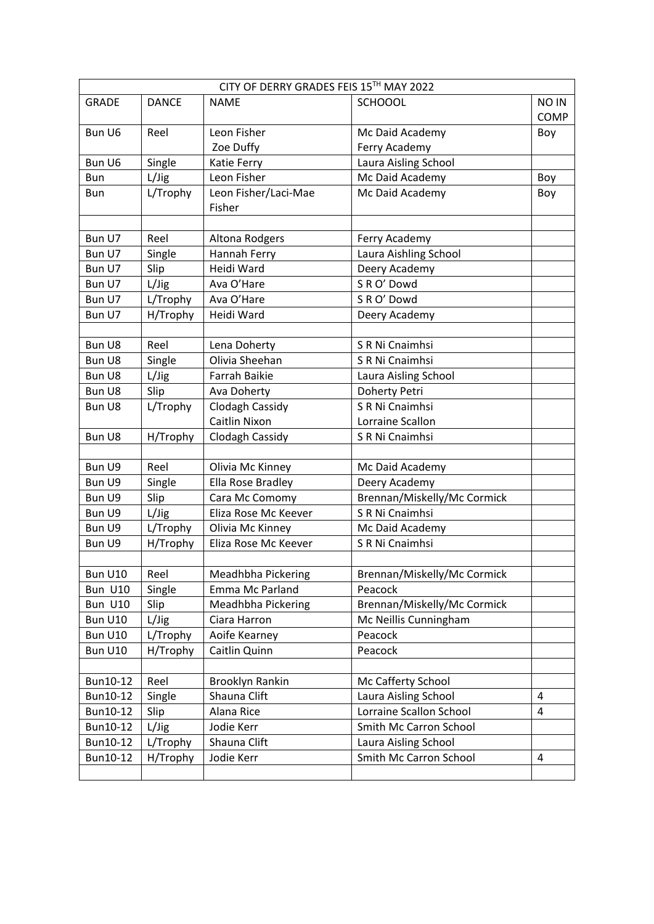| CITY OF DERRY GRADES FEIS 15TH MAY 2022 |              |                      |                             |                         |
|-----------------------------------------|--------------|----------------------|-----------------------------|-------------------------|
| <b>GRADE</b>                            | <b>DANCE</b> | <b>NAME</b>          | <b>SCHOOOL</b>              | NO IN                   |
|                                         |              |                      |                             | <b>COMP</b>             |
| Bun U6                                  | Reel         | Leon Fisher          | Mc Daid Academy             | Boy                     |
|                                         |              | Zoe Duffy            | Ferry Academy               |                         |
| Bun U6                                  | Single       | Katie Ferry          | Laura Aisling School        |                         |
| Bun                                     | L/Jig        | Leon Fisher          | Mc Daid Academy             | Boy                     |
| Bun                                     | L/Trophy     | Leon Fisher/Laci-Mae | Mc Daid Academy             | Boy                     |
|                                         |              | Fisher               |                             |                         |
|                                         |              |                      |                             |                         |
| Bun U7                                  | Reel         | Altona Rodgers       | Ferry Academy               |                         |
| Bun U7                                  | Single       | Hannah Ferry         | Laura Aishling School       |                         |
| Bun U7                                  | Slip         | Heidi Ward           | Deery Academy               |                         |
| Bun U7                                  | L/Jig        | Ava O'Hare           | S R O' Dowd                 |                         |
| Bun U7                                  | L/Trophy     | Ava O'Hare           | S R O' Dowd                 |                         |
| Bun U7                                  | H/Trophy     | Heidi Ward           | Deery Academy               |                         |
|                                         |              |                      |                             |                         |
| Bun U8                                  | Reel         | Lena Doherty         | S R Ni Cnaimhsi             |                         |
| Bun U8                                  | Single       | Olivia Sheehan       | S R Ni Cnaimhsi             |                         |
| Bun U8                                  | L/Jig        | <b>Farrah Baikie</b> | Laura Aisling School        |                         |
| Bun U8                                  | Slip         | Ava Doherty          | Doherty Petri               |                         |
| Bun U8                                  | L/Trophy     | Clodagh Cassidy      | S R Ni Cnaimhsi             |                         |
|                                         |              | Caitlin Nixon        | Lorraine Scallon            |                         |
| Bun U8                                  | H/Trophy     | Clodagh Cassidy      | S R Ni Cnaimhsi             |                         |
|                                         |              |                      |                             |                         |
| Bun U9                                  | Reel         | Olivia Mc Kinney     | Mc Daid Academy             |                         |
| Bun U9                                  | Single       | Ella Rose Bradley    | Deery Academy               |                         |
| Bun U9                                  | Slip         | Cara Mc Comomy       | Brennan/Miskelly/Mc Cormick |                         |
| Bun U9                                  | L/Jig        | Eliza Rose Mc Keever | S R Ni Cnaimhsi             |                         |
| Bun U9                                  | L/Trophy     | Olivia Mc Kinney     | Mc Daid Academy             |                         |
| Bun U9                                  | H/Trophy     | Eliza Rose Mc Keever | S R Ni Cnaimhsi             |                         |
|                                         |              |                      |                             |                         |
| Bun U10                                 | Reel         | Meadhbha Pickering   | Brennan/Miskelly/Mc Cormick |                         |
| Bun U10                                 | Single       | Emma Mc Parland      | Peacock                     |                         |
| Bun U10                                 | Slip         | Meadhbha Pickering   | Brennan/Miskelly/Mc Cormick |                         |
| Bun U10                                 | L/Jig        | Ciara Harron         | Mc Neillis Cunningham       |                         |
| Bun U10                                 | L/Trophy     | Aoife Kearney        | Peacock                     |                         |
| Bun U10                                 | H/Trophy     | Caitlin Quinn        | Peacock                     |                         |
|                                         |              |                      |                             |                         |
| Bun10-12                                | Reel         | Brooklyn Rankin      | Mc Cafferty School          |                         |
| Bun10-12                                | Single       | Shauna Clift         | Laura Aisling School        | 4                       |
| Bun10-12                                | Slip         | Alana Rice           | Lorraine Scallon School     | $\overline{\mathbf{4}}$ |
| Bun10-12                                | L/Jig        | Jodie Kerr           | Smith Mc Carron School      |                         |
| Bun10-12                                | L/Trophy     | Shauna Clift         | Laura Aisling School        |                         |
| Bun10-12                                | H/Trophy     | Jodie Kerr           | Smith Mc Carron School      | 4                       |
|                                         |              |                      |                             |                         |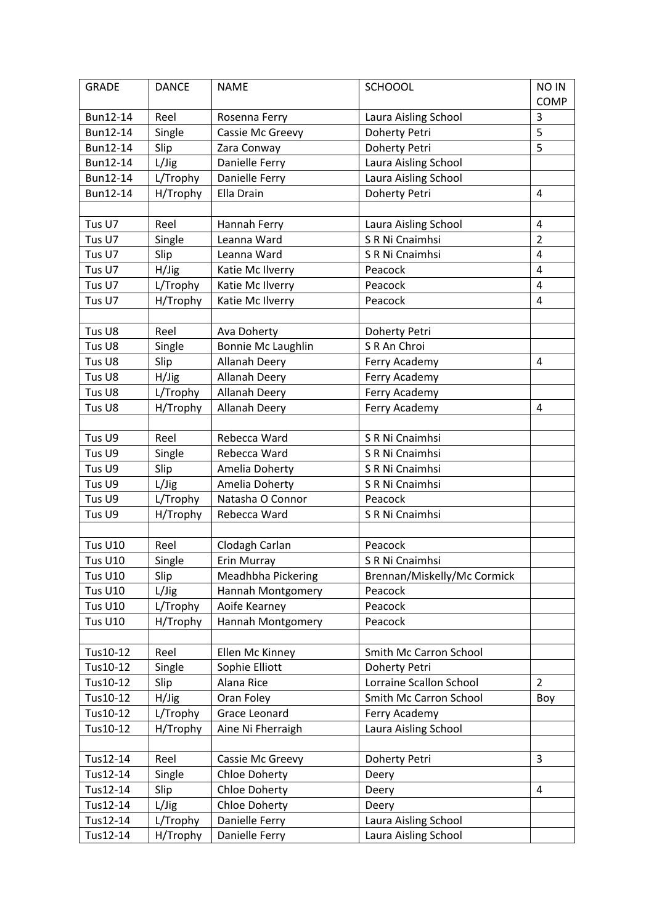| <b>GRADE</b>   | <b>DANCE</b> | <b>NAME</b>          | <b>SCHOOOL</b>              | <b>NO IN</b>   |
|----------------|--------------|----------------------|-----------------------------|----------------|
|                |              |                      |                             | <b>COMP</b>    |
| Bun12-14       | Reel         | Rosenna Ferry        | Laura Aisling School        | 3              |
| Bun12-14       | Single       | Cassie Mc Greevy     | Doherty Petri               | $\overline{5}$ |
| Bun12-14       | Slip         | Zara Conway          | Doherty Petri               | 5              |
| Bun12-14       | L/Jig        | Danielle Ferry       | Laura Aisling School        |                |
| Bun12-14       | L/Trophy     | Danielle Ferry       | Laura Aisling School        |                |
| Bun12-14       | H/Trophy     | Ella Drain           | Doherty Petri               | 4              |
|                |              |                      |                             |                |
| Tus U7         | Reel         | Hannah Ferry         | Laura Aisling School        | 4              |
| Tus U7         | Single       | Leanna Ward          | S R Ni Cnaimhsi             | $\overline{2}$ |
| Tus U7         | Slip         | Leanna Ward          | S R Ni Cnaimhsi             | 4              |
| Tus U7         | H/Jig        | Katie Mc Ilverry     | Peacock                     | $\overline{4}$ |
| Tus U7         | L/Trophy     | Katie Mc Ilverry     | Peacock                     | 4              |
| Tus U7         | H/Trophy     | Katie Mc Ilverry     | Peacock                     | 4              |
|                |              |                      |                             |                |
| Tus U8         | Reel         | Ava Doherty          | Doherty Petri               |                |
| Tus U8         | Single       | Bonnie Mc Laughlin   | S R An Chroi                |                |
| Tus U8         | Slip         | Allanah Deery        | Ferry Academy               | 4              |
| Tus U8         | H/Jig        | Allanah Deery        | Ferry Academy               |                |
| Tus U8         | L/Trophy     | Allanah Deery        | Ferry Academy               |                |
| Tus U8         | H/Trophy     | <b>Allanah Deery</b> | Ferry Academy               | 4              |
|                |              |                      |                             |                |
| Tus U9         | Reel         | Rebecca Ward         | S R Ni Cnaimhsi             |                |
| Tus U9         | Single       | Rebecca Ward         | S R Ni Cnaimhsi             |                |
| Tus U9         | Slip         | Amelia Doherty       | S R Ni Cnaimhsi             |                |
| Tus U9         | L/Jig        | Amelia Doherty       | S R Ni Cnaimhsi             |                |
| Tus U9         | L/Trophy     | Natasha O Connor     | Peacock                     |                |
| Tus U9         | H/Trophy     | Rebecca Ward         | S R Ni Cnaimhsi             |                |
|                |              |                      |                             |                |
| <b>Tus U10</b> | Reel         | Clodagh Carlan       | Peacock                     |                |
| <b>Tus U10</b> | Single       | Erin Murray          | S R Ni Cnaimhsi             |                |
| <b>Tus U10</b> | Slip         | Meadhbha Pickering   | Brennan/Miskelly/Mc Cormick |                |
| <b>Tus U10</b> | L/Jig        | Hannah Montgomery    | Peacock                     |                |
| <b>Tus U10</b> | L/Trophy     | Aoife Kearney        | Peacock                     |                |
| <b>Tus U10</b> | H/Trophy     | Hannah Montgomery    | Peacock                     |                |
|                |              |                      |                             |                |
| Tus10-12       | Reel         | Ellen Mc Kinney      | Smith Mc Carron School      |                |
| Tus10-12       | Single       | Sophie Elliott       | Doherty Petri               |                |
| Tus10-12       | Slip         | Alana Rice           | Lorraine Scallon School     | $\overline{2}$ |
| Tus10-12       | H/Jig        | Oran Foley           | Smith Mc Carron School      | Boy            |
| Tus10-12       | L/Trophy     | Grace Leonard        | Ferry Academy               |                |
| Tus10-12       | H/Trophy     | Aine Ni Fherraigh    | Laura Aisling School        |                |
|                |              |                      |                             |                |
| Tus12-14       | Reel         | Cassie Mc Greevy     | Doherty Petri               | 3              |
| Tus12-14       | Single       | <b>Chloe Doherty</b> | Deery                       |                |
| Tus12-14       | Slip         | <b>Chloe Doherty</b> | Deery                       | $\overline{4}$ |
| Tus12-14       | L/Jig        | <b>Chloe Doherty</b> | Deery                       |                |
| Tus12-14       | L/Trophy     | Danielle Ferry       | Laura Aisling School        |                |
| Tus12-14       | H/Trophy     | Danielle Ferry       | Laura Aisling School        |                |
|                |              |                      |                             |                |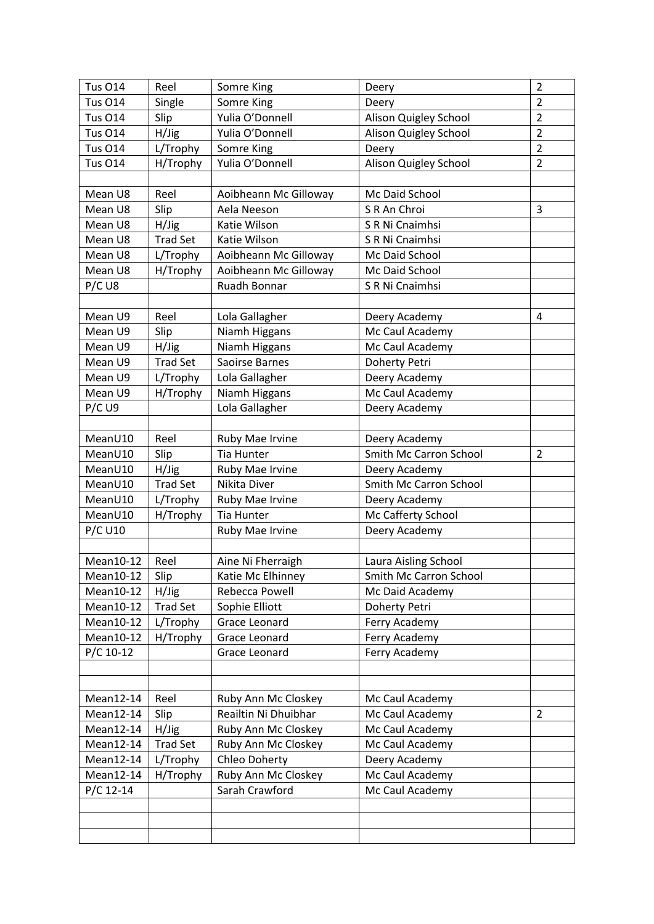| <b>Tus O14</b> | Reel            | Somre King            | Deery                  | $\overline{2}$ |
|----------------|-----------------|-----------------------|------------------------|----------------|
| <b>Tus 014</b> | Single          | Somre King            | Deery                  | $\overline{2}$ |
| <b>Tus 014</b> | Slip            | Yulia O'Donnell       | Alison Quigley School  | $\overline{2}$ |
| <b>Tus O14</b> | H/Jig           | Yulia O'Donnell       | Alison Quigley School  | $\overline{2}$ |
| <b>Tus 014</b> | L/Trophy        | Somre King            | Deery                  | $\overline{2}$ |
| <b>Tus O14</b> | H/Trophy        | Yulia O'Donnell       | Alison Quigley School  | $\overline{2}$ |
|                |                 |                       |                        |                |
| Mean U8        | Reel            | Aoibheann Mc Gilloway | Mc Daid School         |                |
| Mean U8        | Slip            | Aela Neeson           | S R An Chroi           | 3              |
| Mean U8        | H/Jig           | Katie Wilson          | S R Ni Cnaimhsi        |                |
| Mean U8        | <b>Trad Set</b> | Katie Wilson          | S R Ni Cnaimhsi        |                |
| Mean U8        | L/Trophy        | Aoibheann Mc Gilloway | Mc Daid School         |                |
| Mean U8        | H/Trophy        | Aoibheann Mc Gilloway | Mc Daid School         |                |
| P/CU8          |                 | Ruadh Bonnar          | S R Ni Cnaimhsi        |                |
|                |                 |                       |                        |                |
| Mean U9        | Reel            | Lola Gallagher        | Deery Academy          | 4              |
| Mean U9        | Slip            | Niamh Higgans         | Mc Caul Academy        |                |
| Mean U9        | H/Jig           | Niamh Higgans         | Mc Caul Academy        |                |
| Mean U9        | <b>Trad Set</b> | Saoirse Barnes        | Doherty Petri          |                |
| Mean U9        | L/Trophy        | Lola Gallagher        | Deery Academy          |                |
| Mean U9        | H/Trophy        | Niamh Higgans         | Mc Caul Academy        |                |
| $P/C$ U9       |                 | Lola Gallagher        | Deery Academy          |                |
|                |                 |                       |                        |                |
| MeanU10        | Reel            | Ruby Mae Irvine       | Deery Academy          |                |
| MeanU10        | Slip            | <b>Tia Hunter</b>     | Smith Mc Carron School | $\overline{2}$ |
| MeanU10        | H/Jig           | Ruby Mae Irvine       | Deery Academy          |                |
| MeanU10        | <b>Trad Set</b> | Nikita Diver          | Smith Mc Carron School |                |
| MeanU10        | L/Trophy        | Ruby Mae Irvine       | Deery Academy          |                |
| MeanU10        | H/Trophy        | <b>Tia Hunter</b>     | Mc Cafferty School     |                |
| <b>P/C U10</b> |                 | Ruby Mae Irvine       | Deery Academy          |                |
|                |                 |                       |                        |                |
| Mean10-12      | Reel            | Aine Ni Fherraigh     | Laura Aisling School   |                |
| Mean10-12      | Slip            | Katie Mc Elhinney     | Smith Mc Carron School |                |
| Mean10-12      | H/Jig           | Rebecca Powell        | Mc Daid Academy        |                |
| Mean10-12      | <b>Trad Set</b> | Sophie Elliott        | Doherty Petri          |                |
| Mean10-12      | L/Trophy        | Grace Leonard         | Ferry Academy          |                |
| Mean10-12      | H/Trophy        | Grace Leonard         | Ferry Academy          |                |
| $P/C$ 10-12    |                 | Grace Leonard         | Ferry Academy          |                |
|                |                 |                       |                        |                |
|                |                 |                       |                        |                |
| Mean12-14      | Reel            | Ruby Ann Mc Closkey   | Mc Caul Academy        |                |
| Mean12-14      | Slip            | Reailtin Ni Dhuibhar  | Mc Caul Academy        | $\overline{2}$ |
| Mean12-14      | H/Jig           | Ruby Ann Mc Closkey   | Mc Caul Academy        |                |
| Mean12-14      | <b>Trad Set</b> | Ruby Ann Mc Closkey   | Mc Caul Academy        |                |
| Mean12-14      | L/Trophy        | Chleo Doherty         | Deery Academy          |                |
| Mean12-14      | H/Trophy        | Ruby Ann Mc Closkey   | Mc Caul Academy        |                |
| $P/C$ 12-14    |                 | Sarah Crawford        | Mc Caul Academy        |                |
|                |                 |                       |                        |                |
|                |                 |                       |                        |                |
|                |                 |                       |                        |                |